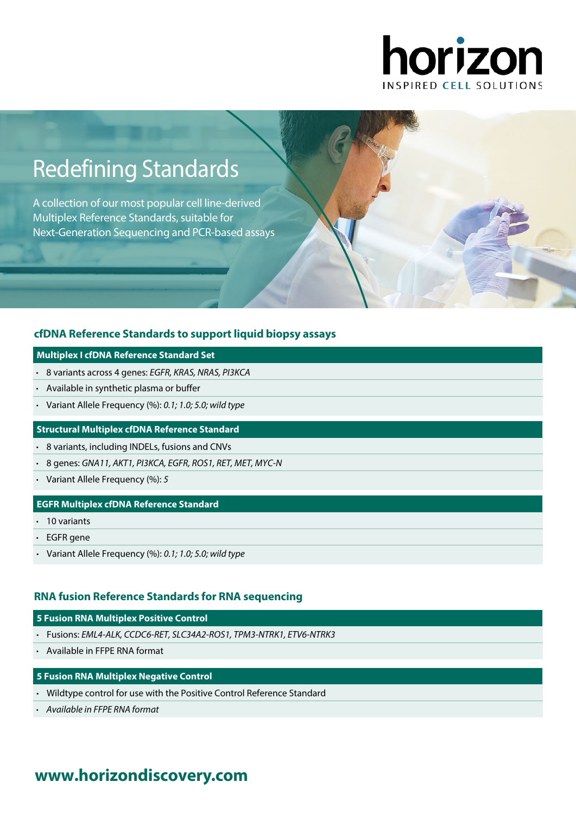

# Redefining Standards

A collection of our most popular cell line-derived Multiplex Reference Standards, suitable for Next-Generation Sequencing and PCR-based assays

## **[cfDNA Reference Standards to support liquid biopsy assays](https://www.horizondiscovery.com/reference-standards/type/cell-free-dna?utm_source=revisit&utm_medium=pdf&utm_campaign=dx)**

#### **Multiplex I cfDNA Reference Standard Set**

- 8 variants across 4 genes: EGFR, KRAS, NRAS, PI3KCA
- Available in synthetic plasma or buffer
- Variant Allele Frequency (%): 0.1; 1.0; 5.0; wild type

### **Structural Multiplex cfDNA Reference Standard**

- 8 variants, including INDELs, fusions and CNVs
- 8 genes: GNA11, AKT1, PI3KCA, EGFR, ROS1, RET, MET, MYC-N
- Variant Allele Frequency (%):  $5$

## **EGFR Multiplex cfDNA Reference Standard**

- 10 variants
- EGFR gene
- Variant Allele Frequency  $(%): 0.1; 1.0; 5.0;$  wild type

## **[RNA fusion Reference Standards for RNA sequencing](https://www.horizondiscovery.com/reference-standards/type/rna-fusion?utm_source=revisit&utm_medium=pdf&utm_campaign=dx)**

## **5 Fusion RNA Multiplex Positive Control**

- Fusions: EML4-ALK, CCDC6-RET, SLC34A2-ROS1, TPM3-NTRK1, ETV6-NTRK3
- Available in FFPE RNA format

## **5 Fusion RNA Multiplex Negative Control**

- Wildtype control for use with the Positive Control Reference Standard
- Available in FFPE RNA format

## **www.[horizondiscovery.com](www.horizondiscovery.com?utm_source=revisit&utm_medium=pdf&utm_campaign=dx)**